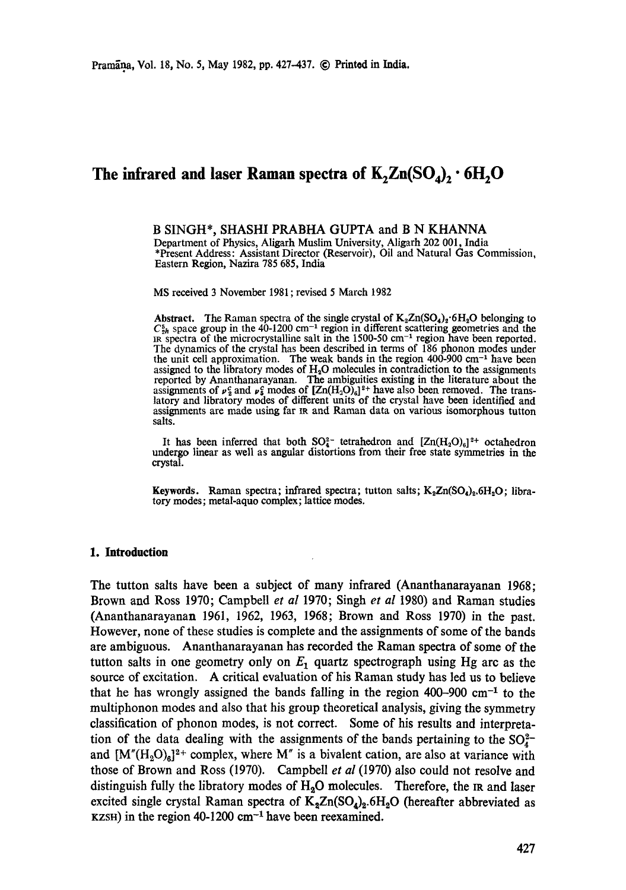# The infrared and laser Raman spectra of  $K_2Zn(SO_4)_2 \cdot 6H_2O$

**B** SINGH\*, SHASHI PRABHA GUPTA and **B N** KHANNA Department of Physics, Aligarh Muslim University, Aligarh 202 001, India \*Present Address: Assistant Director (Reservoir), Oil and Natural Gas Commission, Eastern Region, Nazira 785 685, India

MS received 3 November 1981 ; revised 5 March 1982

Abstract. The Raman spectra of the single crystal of  $K_2Zn(SO_4)_2 \cdot 6H_2O$  belonging to  $C_{2h}^5$  space group in the 40-1200 cm<sup>-1</sup> region in different scattering geometries and the IR spectra of the microcrystalline salt The dynamics of the crystal has been described in terms of 186 phonon modes under the unit cell approximation. The weak bands in the region  $400-900$  cm<sup>-1</sup> have been assigned to the libratory modes of  $H_2O$  molecules in contradiction to the assignments reported by Ananthanarayanan. The ambiguities existing in the literature about the assignments of  $\mu_s^c$  and  $\mu_s^c$  modes of  $[Zn(H_2O)_6]^2$  have also been removed. The translatory and libratory modes of different units of the crystal have been identified and assignments are made using far m and Raman data on various isomorphous tutton salts.

It has been inferred that both  $SO_4^{2-}$  tetrahedron and  $[Zn(H_2O)_6]^{2+}$  octahedron undergo linear as well as angular distortions from their free state symmetries in the crystal.

**Keywords.** Raman spectra; infrared spectra; tutton salts;  $K_2Zn(SO_4)_2, 6H_2O$ ; libratory modes; metal-aquo complex; lattice modes.

## **1. Introduction**

The tutton salts have been a subject of many infrared (Ananthanarayanan 1968; Brown and Ross 1970; Campbell *et al* 1970; Singh *et al* 1980) and Raman studies (Ananthanarayanan 1961, 1962, 1963, 1968; Brown and Ross 1970) in the past. However, none of these studies is complete and the assignments of some of the bands are ambiguous. Ananthanarayanan has recorded the Raman spectra of some of the tutton salts in one geometry only on  $E_1$  quartz spectrograph using Hg arc as the source of excitation. A critical evaluation of his Raman study has led us to believe that he has wrongly assigned the bands falling in the region 400-900 cm<sup>-1</sup> to the multiphonon modes and also that his group theoretical analysis, giving the symmetry classification of phonon modes, is not correct. Some of his results and interpretation of the data dealing with the assignments of the bands pertaining to the  $SO_4^{2-}$ and  $[M''(H_2O)_6]^2$ <sup>+</sup> complex, where M'' is a bivalent cation, are also at variance with those of Brown and Ross (1970). Campbell *et al* (1970) also could not resolve and distinguish fully the libratory modes of  $H_2O$  molecules. Therefore, the IR and laser excited single crystal Raman spectra of  $K_2Zn(SO_4)_2.6H_2O$  (hereafter abbreviated as  $KZSH$ ) in the region 40-1200 cm<sup>-1</sup> have been reexamined.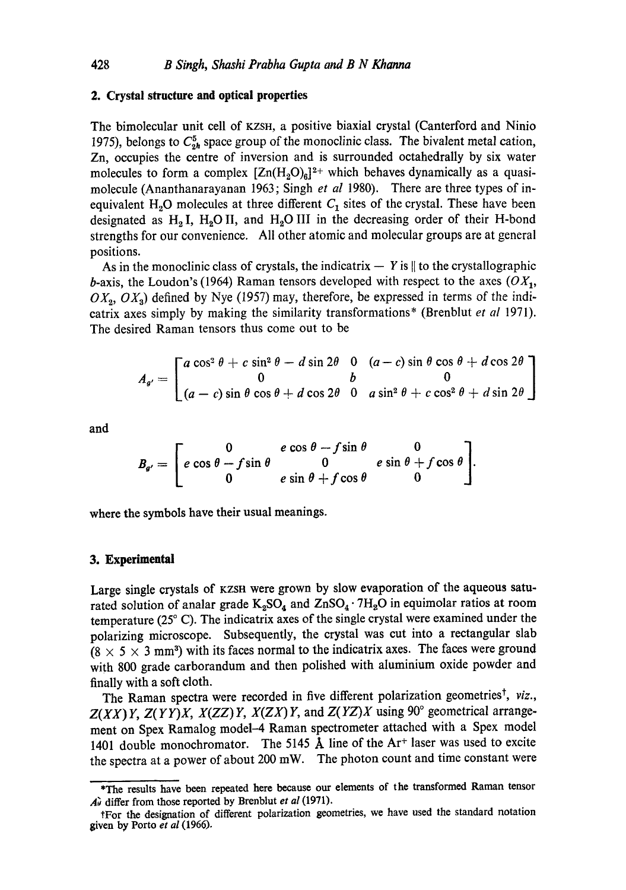#### **2. Crystal structure and optical properties**

The bimolecular unit cell of KZSH, a positive biaxial crystal (Canterford and Ninio 1975), belongs to  $C_{2h}^5$  space group of the monoclinic class. The bivalent metal cation, Zn, occupies the centre of inversion and is surrounded octahedrally by six water molecules to form a complex  $[Zn(H_2O)_6]^2$ <sup>+</sup> which behaves dynamically as a quasimolecule (Ananthanarayanan 1963; Singh *et al* 1980). There are three types of inequivalent  $H_2O$  molecules at three different  $C_1$  sites of the crystal. These have been designated as  $H_2 I$ ,  $H_2 O II$ , and  $H_2 O III$  in the decreasing order of their H-bond strengths for our convenience. All other atomic and molecular groups are at general positions.

As in the monoclinic class of crystals, the indicatrix  $-$  Y is  $\parallel$  to the crystallographic b-axis, the Loudon's (1964) Raman tensors developed with respect to the axes  $(OX_1, Y_2)$  $OX_2, OX_3)$  defined by Nye (1957) may, therefore, be expressed in terms of the indicatrix axes simply by making the similarity transformations\* (Brenblut *et al* 1971). The desired Raman tensors thus come out to be

$$
A_{g'} = \begin{bmatrix} a\cos^2\theta + c\sin^2\theta - d\sin 2\theta & 0 & (a-c)\sin\theta\cos\theta + d\cos 2\theta \\ 0 & b & 0 \\ (a-c)\sin\theta\cos\theta + d\cos 2\theta & 0 & a\sin^2\theta + c\cos^2\theta + d\sin 2\theta \end{bmatrix}
$$

**and** 

$$
B_{g'} = \begin{bmatrix} 0 & e \cos \theta - f \sin \theta & 0 \\ e \cos \theta - f \sin \theta & 0 & e \sin \theta + f \cos \theta \\ 0 & e \sin \theta + f \cos \theta & 0 \end{bmatrix}.
$$

**where** the symbols have their usual meanings.

#### **3. Experimental**

Large single crystals of KZSH were grown by slow evaporation of the aqueous saturated solution of analar grade  $K_2SO_4$  and  $ZnSO_4 \cdot 7H_2O$  in equimolar ratios at room temperature (25 ° C). The indicatrix axes of the single crystal were examined under the polarizing microscope. Subsequently, the crystal was cut into a rectangular slab  $(8 \times 5 \times 3 \text{ mm}^3)$  with its faces normal to the indicatrix axes. The faces were ground with 800 grade carborandum and then polished with aluminium oxide powder and finally with a soft cloth.

The Raman spectra were recorded in five different polarization geometries<sup>†</sup>, *viz.*,  $Z(XX)Y$ ,  $Z(YY)X$ ,  $X(ZZ)Y$ ,  $X(ZX)Y$ , and  $Z(YZ)X$  using  $90^\circ$  geometrical arrangement on Spex Ramalog model-4 Raman spectrometer attached with a Spex model 1401 double monochromator. The 5145  $\AA$  line of the Ar<sup>+</sup> laser was used to excite the spectra at a power of about  $200$  mW. The photon count and time constant were

<sup>\*</sup>The results have been repeated here because our elements of the transformed Raman tensor A<sup> $\hat{d}$ </sup> differ from those reported by Brenblut *et al* (1971).

<sup>\$</sup>For the designation of different polarization geometries, we have used the standard notation given by Porto *et al* (1966).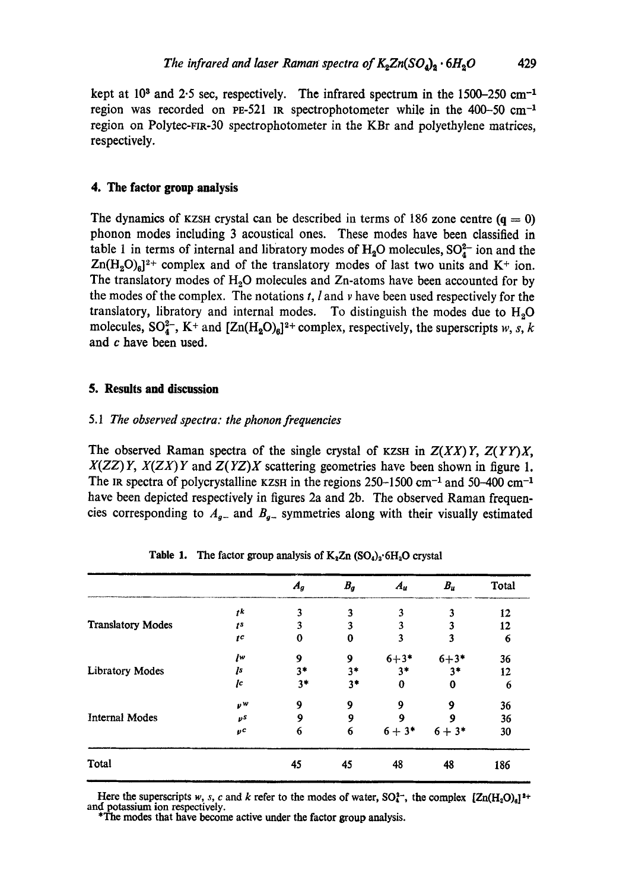kept at  $10<sup>3</sup>$  and  $2.5$  sec, respectively. The infrared spectrum in the 1500-250 cm<sup>-1</sup> region was recorded on PE-521 IR spectrophotometer while in the 400-50 cm<sup>-1</sup> region on Polytec-Fm-30 spectrophotometer in the KBr and polyethylene matrices, respectively.

## **4. The factor group .analysis**

The dynamics of KZSH crystal can be described in terms of 186 zone centre  $(q = 0)$ phonon modes including 3 acoustical ones. These modes have been classified in table 1 in terms of internal and libratory modes of  $H_2O$  molecules,  $SO_4^{2-}$  ion and the  $Zn(H_2O)_6]^2$ <sup>+</sup> complex and of the translatory modes of last two units and K<sup>+</sup> ion. The translatory modes of  $H_2O$  molecules and Zn-atoms have been accounted for by the modes of the complex. The notations  $t$ ,  $l$  and  $\nu$  have been used respectively for the translatory, libratory and internal modes. To distinguish the modes due to  $H_2O$ molecules,  $SO_4^{2-}$ , K<sup>+</sup> and  $[Zn(H_2O)_6]^{2+}$  complex, respectively, the superscripts w, s, k and c have been used.

#### **5. Results and discussion**

## 5.1 *The observed spectra: the phonon frequencies*

The observed Raman spectra of the single crystal of KZSH in  $Z(XX)Y$ ,  $Z(YY)X$ , *X(ZZ) Y, X(ZX) Y* and *Z(YZ)X* scattering geometries have been shown in figure 1. The IR spectra of polycrystalline KZSH in the regions  $250-1500$  cm<sup>-1</sup> and  $50-400$  cm<sup>-1</sup> have been depicted respectively in figures 2a and 2b. The observed Raman frequencies corresponding to  $A_{g-}$  and  $B_{g-}$  symmetries along with their visually estimated

|                          |                | $A_g$    | $B_g$ | $A_u$    | $B_u$    | Total |
|--------------------------|----------------|----------|-------|----------|----------|-------|
|                          | ţk             | 3        | 3     | 3        | 3        | 12    |
| <b>Translatory Modes</b> | t <sub>s</sub> | 3        | 3     | 3        | 3        | 12    |
|                          | $^{tc}$        | $\bf{0}$ | 0     | 3        | 3        | 6     |
| <b>Libratory Modes</b>   | Įw             | 9        | 9     | $6 + 3*$ | $6 + 3*$ | 36    |
|                          | Įs             | $3*$     | $3*$  | $3*$     | $3*$     | 12    |
|                          | Įc             | $3*$     | $3*$  | 0        | $\bf{0}$ | 6     |
| <b>Internal Modes</b>    | νW             | 9        | 9     | 9        | 9        | 36    |
|                          | νs             | 9        | 9     | 9        | 9        | 36    |
|                          | $_{pc}$        | 6        | 6     | $6 + 3*$ | $6 + 3*$ | 30    |
| Total                    |                | 45       | 45    | 48       | 48       | 186   |

**Table 1.** The factor group analysis of  $K_2 Zn$  (SO<sub>4</sub>)<sub>2</sub>.6H<sub>2</sub>O crystal

Here the superscripts w, s, c and k refer to the modes of water,  $SO_4^{2-}$ , the complex  $[Zn(H_2O)_d]^2+$ and potassium ion respectively.

\*The modes that have become active under the factor group analysis.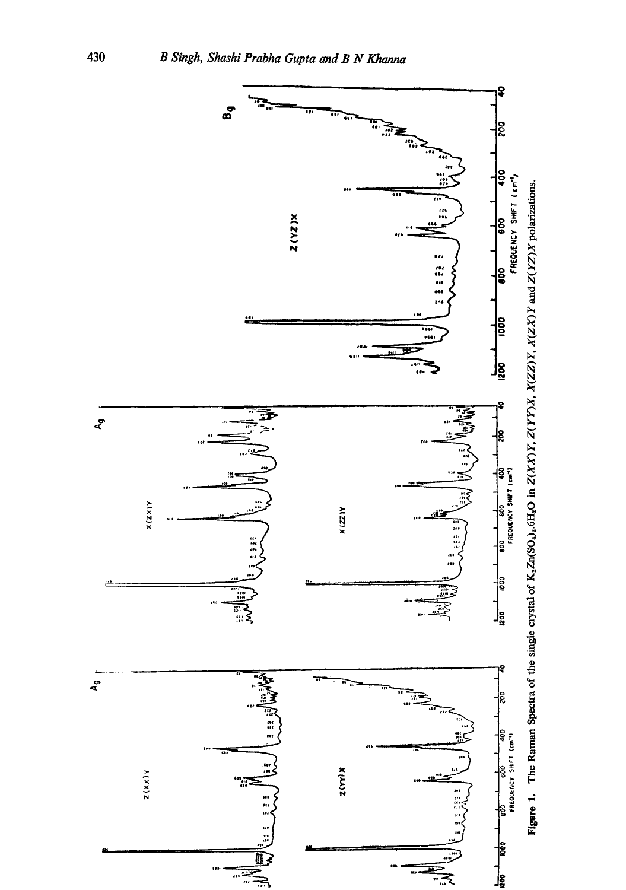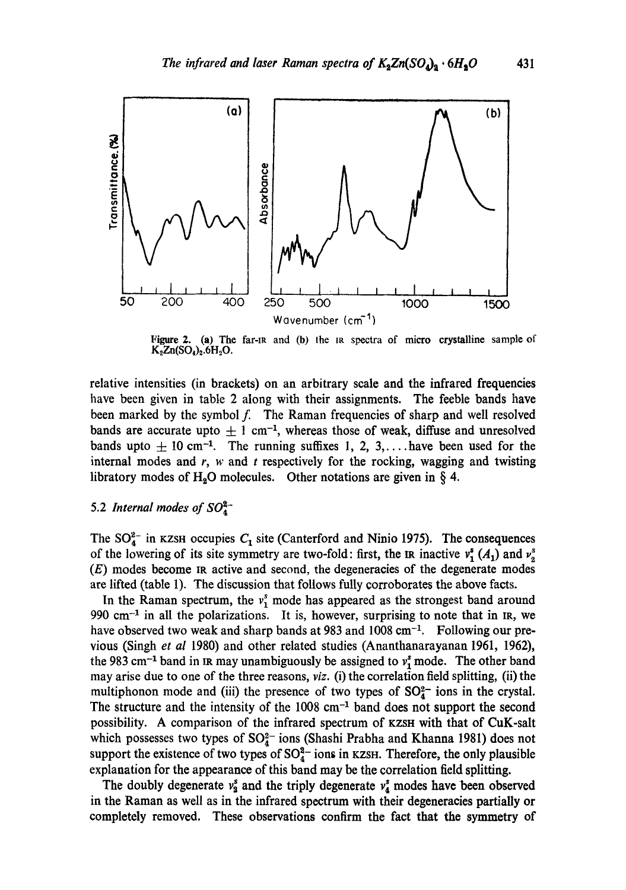

Figure 2. (a) The far-IR and (b) the IR spectra of micro crystalline sample of  $K_2Zn(SO_4)_2.6H_2O.$ 

relative intensities (in brackets) on an arbitrary scale and the infrared frequencies have been given in table 2 along with their assignments. The feeble bands have been marked by the symbol  $f$ . The Raman frequencies of sharp and well resolved bands are accurate upto  $\pm 1$  cm<sup>-1</sup>, whereas those of weak, diffuse and unresolved bands upto  $\pm$  10 cm<sup>-1</sup>. The running suffixes 1, 2, 3,... have been used for the internal modes and  $r$ ,  $w$  and  $t$  respectively for the rocking, wagging and twisting libratory modes of H<sub>2</sub>O molecules. Other notations are given in  $\S$  4.

## 5.2 *Internal modes of*  $SO_4^{2-}$

The  $SO_4^{2-}$  in KZSH occupies  $C_1$  site (Canterford and Ninio 1975). The consequences of the lowering of its site symmetry are two-fold: first, the IR inactive  $v_1^s(A_1)$  and  $v_2^s$ (E) modes become IR active and second, the degeneracies of the degenerate modes are lifted (table 1). The discussion that follows fully corroborates the above facts.

In the Raman spectrum, the  $v_1^s$  mode has appeared as the strongest band around 990 cm $^{-1}$  in all the polarizations. It is, however, surprising to note that in IR, we have observed two weak and sharp bands at 983 and  $1008 \text{ cm}^{-1}$ . Following our previous (Singh *et al* 1980) and other related studies (Ananthanarayanan 1961, 1962), the 983 cm<sup>-1</sup> band in in may unambiguously be assigned to  $v_1^2$  mode. The other band may arise due to one of the three reasons, *viz.* (i) the correlation field splitting, (ii) the multiphonon mode and (iii) the presence of two types of  $SO_4^{2-}$  ions in the crystal. The structure and the intensity of the  $1008 \text{ cm}^{-1}$  band does not support the second possibility. A comparison of the infrared spectrum of KZSH with that of CuK-salt which possesses two types of  $SO_4^{2-}$  ions (Shashi Prabha and Khanna 1981) does not support the existence of two types of  $SO_4^{2-}$  ions in KZSH. Therefore, the only plausible explanation for the appearance of this band may be the correlation field splitting.

The doubly degenerate  $v_2^s$  and the triply degenerate  $v_4^s$  modes have been observed in the Raman as well as in the infrared spectrum with their degeneracies partially or completely removed. These observations confirm the fact that the symmetry of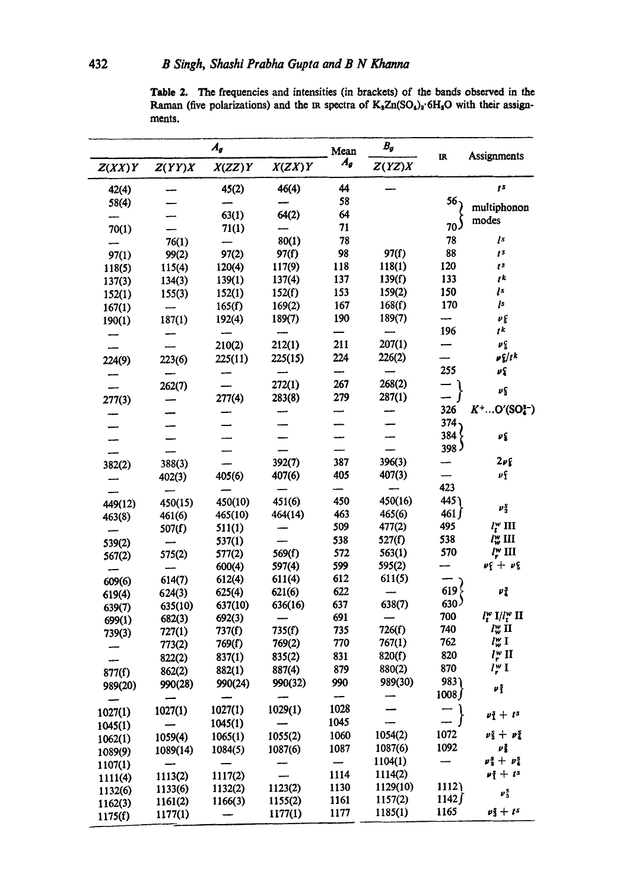Table 2. The frequencies and intensities (in brackets) of the bands observed in the Raman (five polarizations) and the IR spectra of K<sub>2</sub>Zn(SO<sub>4</sub>)<sub>2</sub>·6H<sub>2</sub>O with their assignments.

| $A_{g}$ |                          |                          | Mean    | $B_{g}$ |          |                          |                                       |
|---------|--------------------------|--------------------------|---------|---------|----------|--------------------------|---------------------------------------|
| Z(XX)Y  | Z(YY)X                   | X(ZZ)Y                   | X(ZX)Y  | A,      | Z(YZ)X   | $\mathbf{R}$             | Assignments                           |
| 42(4)   |                          | 45(2)                    | 46(4)   | 44      |          |                          | ţ\$                                   |
| 58(4)   |                          |                          |         | 58      |          | 56、                      | multiphonon                           |
|         |                          | 63(1)                    | 64(2)   | 64      |          |                          |                                       |
| 70(1)   |                          | 71(1)                    |         | 71      |          | 70J                      | modes                                 |
|         | 76(1)                    |                          | 80(1)   | 78      |          | 78                       | $\sqrt{s}$                            |
| 97(1)   | 99(2)                    | 97(2)                    | 97(f)   | 98      | 97(f)    | 88                       | t <sub>s</sub>                        |
| 118(5)  | 115(4)                   | 120(4)                   | 117(9)  | 118     | 118(1)   | 120                      | $t^{\frac{1}{3}}$                     |
| 137(3)  | 134(3)                   | 139(1)                   | 137(4)  | 137     | 139(f)   | 133                      | $t^k$                                 |
| 152(1)  | 155(3)                   | 152(1)                   | 152(f)  | 153     | 159(2)   | 150                      | Įs                                    |
| 167(1)  | $\overline{\phantom{0}}$ | 165(f)                   | 169(2)  | 167     | 168(f)   | 170                      | Įs                                    |
| 190(1)  | 187(1)                   | 192(4)                   | 189(7)  | 190     | 189(7)   | $\overline{\phantom{0}}$ | $\nu_{\epsilon}$                      |
|         |                          |                          |         |         |          | 196                      | ţk                                    |
|         |                          | 210(2)                   | 212(1)  | 211     | 207(1)   |                          | $\pmb{\nu}^c_{\pmb{\delta}}$          |
| 224(9)  | 223(6)                   | 225(11)                  | 225(15) | 224     | 226(2)   |                          | $\nu \xi/t^k$                         |
|         |                          |                          |         |         |          | 255                      | νŞ                                    |
|         | 262(7)                   |                          | 272(1)  | 267     | 268(2)   |                          | $\boldsymbol{\nu}$                    |
| 277(3)  |                          | 277(4)                   | 283(8)  | 279     | 287(1)   |                          |                                       |
|         |                          |                          |         |         |          | 326                      | $K^+O'(SO_4^{n-})$                    |
|         |                          |                          |         |         |          | $374 -$                  |                                       |
|         |                          |                          |         |         |          | 384 <sup>′</sup>         | $\pmb{\nu}$ (                         |
|         |                          |                          |         |         |          | 398 <sup>3</sup>         |                                       |
| 382(2)  | 388(3)                   |                          | 392(7)  | 387     | 396(3)   |                          | $2\nu$ f                              |
|         | 402(3)                   | 405(6)                   | 407(6)  | 405     | 407(3)   |                          | νf                                    |
|         |                          |                          |         |         |          | 423                      |                                       |
| 449(12) | 450(15)                  | 450(10)                  | 451(6)  | 450     | 450(16)  | 445                      | $\boldsymbol{\nu}_2^s$                |
| 463(8)  | 461(6)                   | 465(10)                  | 464(14) | 463     | 465(6)   | 461 f                    |                                       |
|         | 507(f)                   | 511(1)                   |         | 509     | 477(2)   | 495                      | $l_i^w$ III                           |
| 539(2)  |                          | 537(1)                   |         | 538     | 527(f)   | 538                      | $l_w^w$ III                           |
| 567(2)  | 575(2)                   | 577(2)                   | 569(f)  | 572     | 563(1)   | 570                      | $l_r^{\omega}$ III                    |
|         |                          | 600(4)                   | 597(4)  | 599     | 595(2)   |                          | $\nu f + \nu g$                       |
| 609(6)  | 614(7)                   | 612(4)                   | 611(4)  | 612     | 611(5)   | 619 <sup>2</sup>         |                                       |
| 619(4)  | 624(3)                   | 625(4)                   | 621(6)  | 622     |          |                          | $\pmb{\nu}_4^{\,\bf S}$               |
| 639(7)  | 635(10)                  | 637(10)                  | 636(16) | 637     | 638(7)   | $630^{\circ}$            |                                       |
| 699(1)  | 682(3)                   | 692(3)                   |         | 691     |          | 700                      | $l_t^w$ I/ $l_t^w$ II                 |
| 739(3)  | 727(1)                   | 737(f)                   | 735(f)  | 735     | 726(f)   | 740<br>762               | $l_w^w$ II<br>$l_{w}^{w}$ I           |
|         | 773(2)                   | 769(f)                   | 769(2)  | 770     | 767(1)   | 820                      | $l^w$ II                              |
|         | 822(2)                   | 837(1)                   | 835(2)  | 831     | 820(f)   | 870                      |                                       |
| 877(f)  | 862(2)                   | 882(1)                   | 887(4)  | 879     | 880(2)   |                          | $l_r^w$ I                             |
| 989(20) | 990(28)                  | 990(24)                  | 990(32) | 990     | 989(30)  | 983<br>1008              | $\nu_1^s$                             |
|         |                          |                          |         | --      |          |                          |                                       |
| 1027(1) | 1027(1)                  | 1027(1)                  | 1029(1) | 1028    |          | $\sqsupset$              | $\nu_1^s + t^s$                       |
| 1045(1) |                          | 1045(1)                  |         | 1045    |          |                          |                                       |
| 1062(1) | 1059(4)                  | 1065(1)                  | 1055(2) | 1060    | 1054(2)  | 1072                     | $\nu_{2}^{s} + \nu_{4}^{s}$           |
| 1089(9) | 1089(14)                 | 1084(5)                  | 1087(6) | 1087    | 1087(6)  | 1092                     | $\nu_3^z$                             |
| 1107(1) |                          |                          |         |         | 1104(1)  | ---                      | $p_1^3 + p_4^5$                       |
| 1111(4) | 1113(2)                  | 1117(2)                  |         | 1114    | 1114(2)  |                          | $\nu$ <sub>1</sub> + $t$ <sup>s</sup> |
| 1132(6) | 1133(6)                  | 1132(2)                  | 1123(2) | 1130    | 1129(10) | 1112                     | $\boldsymbol{\nu}_3^s$                |
| 1162(3) | 1161(2)                  | 1166(3)                  | 1155(2) | 1161    | 1157(2)  | 1142∫<br>1165            | $\nu_3^s + t^s$                       |
| 1175(f) | 1177(1)                  | $\overline{\phantom{0}}$ | 1177(1) | 1177    | 1185(1)  |                          |                                       |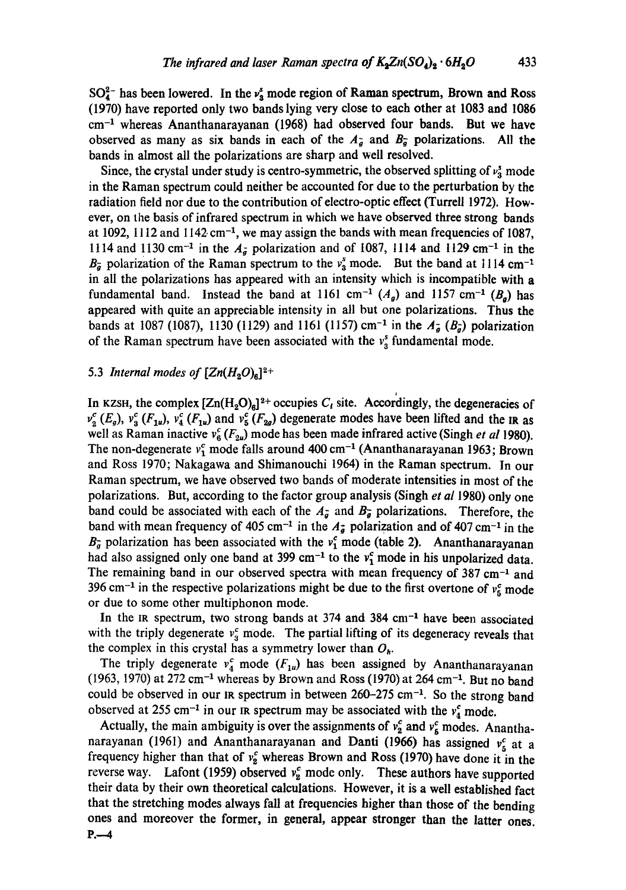$SO_4^{2-}$  has been lowered. In the  $v^s$  mode region of Raman spectrum, Brown and Ross (1970) have reported only two bands lying very close to each other at 1083 and 1086  $cm<sup>-1</sup>$  whereas Ananthanarayanan (1968) had observed four bands. But we have observed as many as six bands in each of the  $A_{\tilde{g}}$  and  $B_{\tilde{g}}$  polarizations. All the bands in almost all the polarizations are sharp and well resolved.

Since, the crystal under study is centro-symmetric, the observed splitting of  $v_3^s$  mode in the Raman spectrum could neither be accounted for due to the perturbation by the radiation field nor due to the contribution of electro-optic effect (Turrell 1972). However, on the basis of infrared spectrum in which we have observed three strong bands at 1092, 1112 and 1142 cm<sup>-1</sup>, we may assign the bands with mean frequencies of 1087, 1114 and 1130 cm<sup>-1</sup> in the  $A_{\bar{g}}$  polarization and of 1087, 1114 and 1129 cm<sup>-1</sup> in the  $B_{\overline{q}}$  polarization of the Raman spectrum to the  $v_s^s$  mode. But the band at 1114 cm<sup>-1</sup> in all the polarizations has appeared with an intensity which is incompatible with a fundamental band. Instead the band at 1161 cm<sup>-1</sup>  $(A<sub>a</sub>)$  and 1157 cm<sup>-1</sup>  $(B<sub>a</sub>)$  has appeared with quite an appreciable intensity in all but one polarizations. Thus the bands at 1087 (1087), 1130 (1129) and 1161 (1157) cm<sup>-1</sup> in the  $A_{\bar{g}}(B_{\bar{g}})$  polarization of the Raman spectrum have been associated with the  $v_s^s$  fundamental mode.

## 5.3 *Internal modes of*  $[Zn(H_2O)_6]^{2+}$

In KZSH, the complex  $[Zn(H_2O)_6]^2$ <sup>+</sup> occupies  $C_t$  site. Accordingly, the degeneracies of  $v_2^c$  (E<sub>g</sub>),  $v_3^c$  (F<sub>1u</sub>),  $v_4^c$  (F<sub>1u</sub>) and  $v_5^c$  (F<sub>2g</sub>) degenerate modes have been lifted and the IR as well as Raman inactive  $v_6^c$  ( $F_{2u}$ ) mode has been made infrared active (Singh *et al* 1980). The non-degenerate  $v_1^c$  mode falls around 400 cm<sup>-1</sup> (Ananthanarayanan 1963; Brown and Ross 1970; Nakagawa and Shimanouchi 1964) in the Raman spectrum. In our Raman spectrum, we have observed two bands of moderate intensities in most of the polarizations. But, according to the factor group analysis (Singh *et al* 1980) only one band could be associated with each of the  $A_{\tilde{g}}$  and  $B_{\tilde{g}}$  polarizations. Therefore, the band with mean frequency of 405 cm<sup>-1</sup> in the  $A_{\overline{g}}$  polarization and of 407 cm<sup>-1</sup> in the  $B_{\tilde{g}}$  polarization has been associated with the  $v_1^c$  mode (table 2). Ananthanarayanan had also assigned only one band at 399 cm<sup>-1</sup> to the  $v_1^c$  mode in his unpolarized data. The remaining band in our observed spectra with mean frequency of  $387 \text{ cm}^{-1}$  and 396 cm<sup>-1</sup> in the respective polarizations might be due to the first overtone of  $v_5^c$  mode or due to some other multiphonon mode.

In the IR spectrum, two strong bands at  $374$  and  $384$  cm<sup>-1</sup> have been associated with the triply degenerate  $v_3^c$  mode. The partial lifting of its degeneracy reveals that the complex in this crystal has a symmetry lower than  $O_h$ .

The triply degenerate  $v_4^c$  mode  $(F_{1u})$  has been assigned by Ananthanarayanan  $(1963, 1970)$  at 272 cm<sup>-1</sup> whereas by Brown and Ross (1970) at 264 cm<sup>-1</sup>. But no band could be observed in our in spectrum in between  $260-275$  cm<sup>-1</sup>. So the strong band observed at 255 cm<sup>-1</sup> in our IR spectrum may be associated with the  $v_4^c$  mode.

Actually, the main ambiguity is over the assignments of  $v_2^c$  and  $v_5^c$  modes. Ananthanarayanan (1961) and Ananthanarayanan and Danti (1966) has assigned  $v_5^c$  at a frequency higher than that of  $v_2^c$  whereas Brown and Ross (1970) have done it in the reverse way. Lafont (1959) observed  $v_2^c$  mode only. These authors have supported their data by their own theoretical calculations. However, it is a well established fact that the stretching modes always fall at frequencies higher than those of the bending ones and moreover the former, in general, appear stronger than the latter ones.  $P - 4$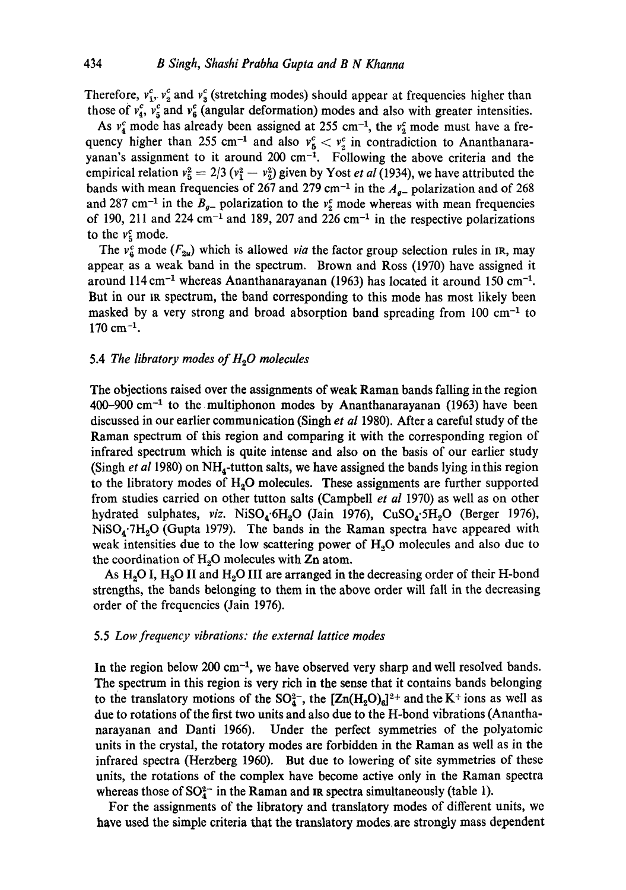Therefore,  $v_1^c$ ,  $v_2^c$  and  $v_3^c$  (stretching modes) should appear at frequencies higher than those of  $v_4^c$ ,  $v_5^c$  and  $v_6^c$  (angular deformation) modes and also with greater intensities.

As  $v_4^c$  mode has already been assigned at 255 cm<sup>-1</sup>, the  $v_2^c$  mode must have a frequency higher than 255 cm<sup>-1</sup> and also  $v_5^c < v_3^c$  in contradiction to Ananthanarayanan's assignment to it around  $200 \text{ cm}^{-1}$ . Following the above criteria and the empirical relation  $v_5^2 = 2/3 (v_1^2 - v_2^2)$  given by Yost *et al* (1934), we have attributed the bands with mean frequencies of 267 and 279 cm<sup>-1</sup> in the  $A<sub>g</sub>$ -polarization and of 268 and 287 cm<sup>-1</sup> in the  $B_{g-}$  polarization to the  $v_2^c$  mode whereas with mean frequencies of 190, 211 and 224 cm<sup>-1</sup> and 189, 207 and 226 cm<sup>-1</sup> in the respective polarizations to the  $v_5^c$  mode.

The  $v_6^c$  mode ( $F_{2\nu}$ ) which is allowed *via* the factor group selection rules in IR, may appear as a weak band in the spectrum. Brown and Ross (1970) have assigned it around  $114 \text{ cm}^{-1}$  whereas Ananthanarayanan (1963) has located it around 150 cm<sup>-1</sup>. But in our IR spectrum, the band corresponding to this mode has most likely been masked by a very strong and broad absorption band spreading from  $100 \text{ cm}^{-1}$  to  $170 \text{ cm}^{-1}$ .

#### 5.4 *The libratory modes of H~O molecules*

The objections raised over the assignments of weak Raman bands falling in the region  $400-900$  cm<sup>-1</sup> to the multiphonon modes by Ananthanarayanan (1963) have been discussed in our earlier communication (Singh *et al* 1980). After a careful study of the Raman spectrum of this region and comparing it with the corresponding region of infrared spectrum which is quite intense and also on the basis of our earlier study (Singh *et al* 1980) on NH4-tutton salts, we have assigned the bands lying inthis region to the libratory modes of  $H_2O$  molecules. These assignments are further supported from studies carried on other tutton salts (Campbell *et al* 1970) as well as on other hydrated sulphates, *viz.* NiSO<sub>4</sub>.6H<sub>2</sub>O (Jain 1976), CuSO<sub>4</sub>.5H<sub>2</sub>O (Berger 1976),  $NiSO<sub>4</sub>·7H<sub>2</sub>O$  (Gupta 1979). The bands in the Raman spectra have appeared with weak intensities due to the low scattering power of  $H<sub>2</sub>O$  molecules and also due to the coordination of  $H_2O$  molecules with  $Zn$  atom.

As  $H_2O$  I,  $H_2O$  II and  $H_2O$  III are arranged in the decreasing order of their H-bond strengths, the bands belonging to them in the above order will fall in the decreasing order of the frequencies (Jain 1976).

## 5.5 *Low frequency vibrations: the external lattice modes*

In the region below 200 cm $^{-1}$ , we have observed very sharp and well resolved bands. The spectrum in this region is very rich in the sense that it contains bands belonging to the translatory motions of the  $SO_4^2$ , the  $[Zn(H_2O)_d]^2$ <sup>+</sup> and the K<sup>+</sup> ions as well as due to rotations of the first two units and also due to the H-bond vibrations (Ananthanarayanan and Danti 1966). Under the perfect symmetries of the polyatomic units in the crystal, the rotatory modes are forbidden in the Raman as well as in the infrared spectra (Herzberg 1960). But due to lowering of site symmetries of these units, the rotations of the complex have become active only in the Raman spectra whereas those of  $SO_4^{2-}$  in the Raman and IR spectra simultaneously (table 1).

For the assignments of the libratory and translatory modes of different units, we have used the simple criteria that the translatory modes, are strongly mass dependent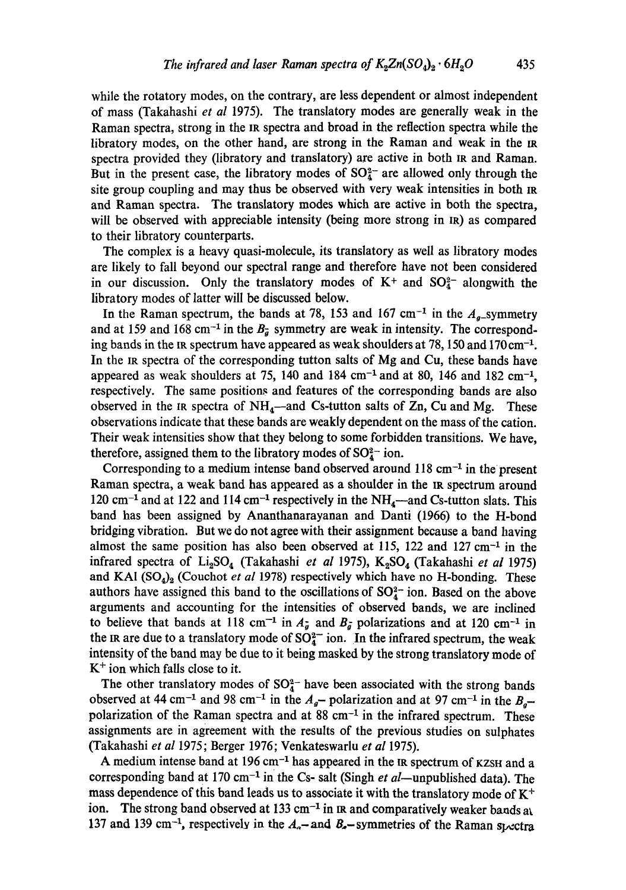while the rotatory modes, on the contrary, are less dependent or almost independent of mass (Takahashi *et al* 1975). The translatory modes are generally weak in the Raman spectra, strong in the IR spectra and broad in the reflection spectra while the libratory modes, on the other hand, are strong in the Raman and weak in the tR spectra provided they (libratory and translatory) are active in both IR and Raman. But in the present case, the libratory modes of  $SO_4^{2-}$  are allowed only through the site group coupling and may thus be observed with very weak intensities in both IR and Raman spectra. The translatory modes which are active in both the spectra, will be observed with appreciable intensity (being more strong in IR) as compared to their libratory counterparts.

The complex is a heavy quasi-molecule, its translatory as well as libratory modes are likely to fall beyond our spectral range and therefore have not been considered in our discussion. Only the translatory modes of  $K^+$  and  $SO_4^{2-}$  alongwith the libratory modes of latter will be discussed below.

In the Raman spectrum, the bands at 78, 153 and 167 cm<sup>-1</sup> in the  $A<sub>g</sub>$ -symmetry and at 159 and 168 cm<sup>-1</sup> in the  $B_{\tilde{a}}$  symmetry are weak in intensity. The corresponding bands in the IR spectrum have appeared as weak shoulders at 78, 150 and  $170 \text{ cm}^{-1}$ . In the IR spectra of the corresponding tutton salts of Mg and Cu, these bands have appeared as weak shoulders at 75, 140 and 184 cm<sup>-1</sup> and at 80, 146 and 182 cm<sup>-1</sup>, respectively. The same positions and features of the corresponding bands are also observed in the IR spectra of  $NH_4$ —and Cs-tutton salts of Zn, Cu and Mg. These observations indicate that these bands are weakly dependent on the mass of the cation. Their weak intensities show that they belong to some forbidden transitions. We have, therefore, assigned them to the libratory modes of  $SO_4^{2-}$  ion.

Corresponding to a medium intense band observed around  $118 \text{ cm}^{-1}$  in the present Raman spectra, a weak band has appeared as a shoulder in the IR spectrum around 120 cm<sup>-1</sup> and at 122 and 114 cm<sup>-1</sup> respectively in the  $NH_4$ —and Cs-tutton slats. This band has been assigned by Ananthanarayanan and Danti (1966) to the H-bond bridging vibration. But we do not agree with their assignment because a band having almost the same position has also been observed at 115, 122 and 127 cm $^{-1}$  in the infrared spectra of Li<sub>2</sub>SO<sub>4</sub> (Takahashi *et al* 1975), K<sub>2</sub>SO<sub>4</sub> (Takahashi *et al* 1975) and KA1 (SO<sub>4</sub>)<sub>2</sub> (Couchot *et al* 1978) respectively which have no H-bonding. These authors have assigned this band to the oscillations of  $SO<sub>4</sub><sup>2</sup>$  ion. Based on the above arguments and accounting for the intensities of observed bands, we are inclined to believe that bands at 118 cm<sup>-1</sup> in  $A_{\tilde{g}}$  and  $B_{\tilde{g}}$  polarizations and at 120 cm<sup>-1</sup> in the IR are due to a translatory mode of  $SO_4^2$  ion. In the infrared spectrum, the weak intensity of the band may be due to it being masked by the strong translatory mode of  $K<sup>+</sup>$  ion which falls close to it.

The other translatory modes of  $SO_4^2$ - have been associated with the strong bands observed at 44 cm<sup>-1</sup> and 98 cm<sup>-1</sup> in the  $A<sub>a</sub>$ -polarization and at 97 cm<sup>-1</sup> in the  $B<sub>a</sub>$ polarization of the Raman spectra and at  $88 \text{ cm}^{-1}$  in the infrared spectrum. These assignments are in agreement with the results of the previous studies on sulphates (Takahashi *et al* 1975; Berger 1976; Venkateswarlu *et al* 1975).

A medium intense band at  $196 \text{ cm}^{-1}$  has appeared in the IR spectrum of KZSH and a corresponding band at 170 cm<sup>-1</sup> in the Cs- salt (Singh *et al*-unpublished data). The mass dependence of this band leads us to associate it with the translatory mode of  $K^+$ ion. The strong band observed at 133 cm<sup>-1</sup> in  $\pi$  and comparatively weaker bands at 137 and 139 cm<sup>-1</sup>, respectively in the  $A_{a}$ -and  $B_{a}$ -symmetries of the Raman spectra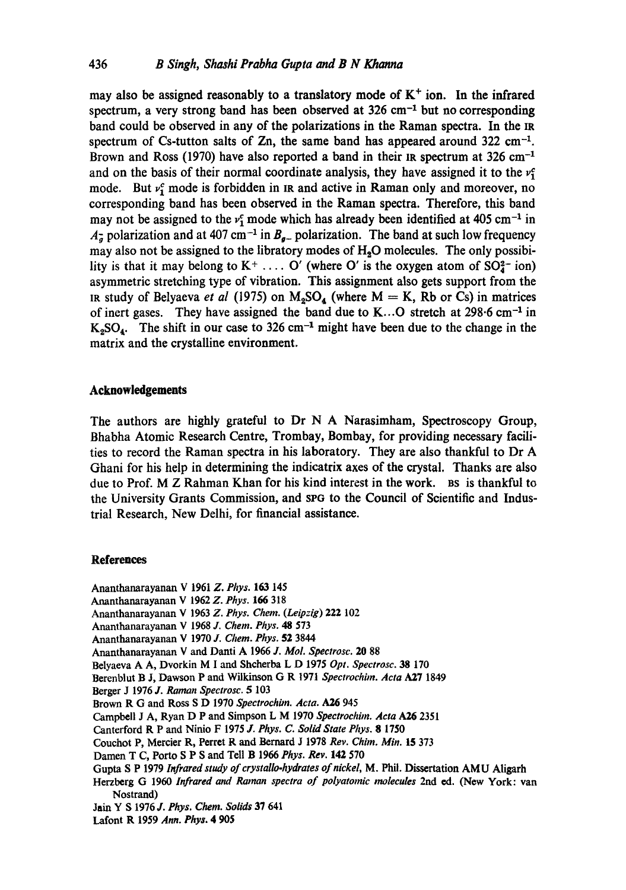may also be assigned reasonably to a translatory mode of  $K<sup>+</sup>$  ion. In the infrared spectrum, a very strong band has been observed at  $326 \text{ cm}^{-1}$  but no corresponding band could be observed in any of the polarizations in the Raman spectra. In the IR spectrum of Cs-tutton salts of  $Zn$ , the same band has appeared around 322 cm<sup>-1</sup>. Brown and Ross (1970) have also reported a band in their IR spectrum at  $326 \text{ cm}^{-1}$ and on the basis of their normal coordinate analysis, they have assigned it to the  $v<sub>i</sub>$ mode. But  $v_i^c$  mode is forbidden in IR and active in Raman only and moreover, no corresponding band has been observed in the Raman spectra. Therefore, this band may not be assigned to the  $v_1^c$  mode which has already been identified at 405 cm<sup>-1</sup> in  $A_{\overline{a}}$  polarization and at 407 cm<sup>-1</sup> in  $B_{a-}$  polarization. The band at such low frequency may also not be assigned to the libratory modes of H<sub>2</sub>O molecules. The only possibility is that it may belong to  $K^+$ .... O' (where O' is the oxygen atom of  $SO<sub>4</sub><sup>2</sup>$  ion) asymmetric stretching type of vibration. This assignment also gets support from the IR study of Belyaeva *et al* (1975) on  $M_2SO_4$  (where  $M = K$ , Rb or Cs) in matrices of inert gases. They have assigned the band due to K...O stretch at  $298.6 \text{ cm}^{-1}$  in  $K<sub>2</sub>SO<sub>4</sub>$ . The shift in our case to 326 cm<sup>-1</sup> might have been due to the change in the matrix and the crystalline environment.

## **Acknowledgements**

The authors are highly grateful to Dr N A Narasimham, Spectroscopy Group, Bhabha Atomic Research Centre, Trombay, Bombay, for providing necessary facilities to record the Raman spectra in his laboratory. They are also thankful to Dr A Ghani for his help in determining the indicatrix axes of the crystal. Thanks are also due to Prof. M Z Rahman Khan for his kind interest in the work. Bs is thankful to the University Grants Commission, and spG to the Council of Scientific and Industrial Research, New Delhi, for financial assistance.

#### **References**

Ananthanarayanan V 1961Z. *Phys.* 163 145

- Ananthanarayanan V 1962 *Z. Phys.* 166 318
- Ananthanarayanan V 1963 *Z. Phys. Chem. (Leipzig)* 222 102
- Ananthanarayanan V 1968 *J. Chem. Phys. 48* 573
- Ananthanarayanan V 1970 J. Chem. Phys. **52** 3844
- Ananthanarayanan V and Danti A 1966 *J. MoL Spectrosc.* 20 88
- Belyaeva A A, Dvorkin M I and Shcherba L D 1975 *Opt. Spectrosc.* 38 170
- Berenblut B J, Dawson P and Wilkinson G R 1971 *Spectrochim. Acta* A27 1849
- Berger J 1976 *J. Raman Spectrosc.* 5 103
- Brown R G and Ross S D 1970 *Spectrochim. Acta. A26* 945
- Campbell J A, Ryan D P and Simpson L M 1970 *Spectrochim. Acta A26* 2351
- Canterford R P and Ninio F 1975 J. Phys. C. Solid State Phys. 8 1750
- Couchot P, Mercier R, Perret R and Bernard J 1978 *Rev. Chim. Min.* 15 373
- Damen T C, Porto S P S and Tell B 1966 *Phys. Rev.* 142 570
- Gupta S P 1979 *Infrared study of crystalio-hydrates of nickel,* M. Phil. Dissertation AMU Aligarh
- Herzberg G 1960 *Infrared and Raman spectra of polyatomic molecules* 2rid ed. (New York: van Nostrand)
- Jnin Y S 1976 J'. *Phys. Chem. Solids* 37 641
- Lafont R 1959 *Ann. Phys. 4 905*